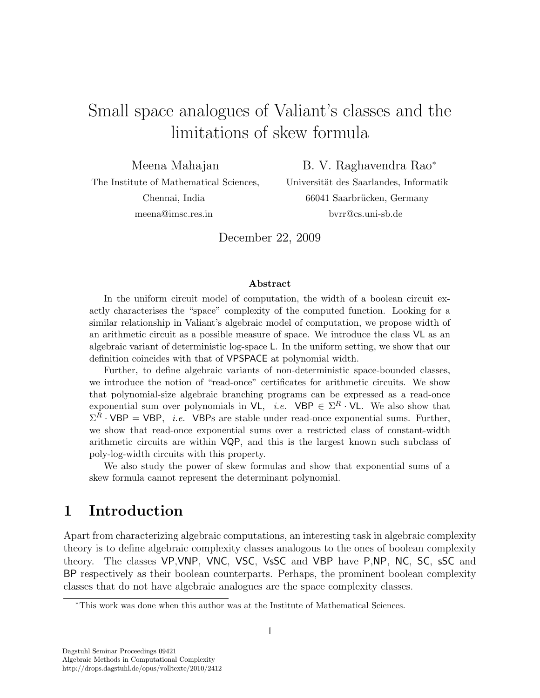# Small space analogues of Valiant's classes and the limitations of skew formula

Meena Mahajan

B. V. Raghavendra Rao<sup>∗</sup>

The Institute of Mathematical Sciences, Chennai, India meena@imsc.res.in

Universität des Saarlandes, Informatik 66041 Saarbrücken, Germany bvrr@cs.uni-sb.de

December 22, 2009

#### Abstract

In the uniform circuit model of computation, the width of a boolean circuit exactly characterises the "space" complexity of the computed function. Looking for a similar relationship in Valiant's algebraic model of computation, we propose width of an arithmetic circuit as a possible measure of space. We introduce the class VL as an algebraic variant of deterministic log-space L. In the uniform setting, we show that our definition coincides with that of VPSPACE at polynomial width.

Further, to define algebraic variants of non-deterministic space-bounded classes, we introduce the notion of "read-once" certificates for arithmetic circuits. We show that polynomial-size algebraic branching programs can be expressed as a read-once exponential sum over polynomials in  $\mathsf{VL}, i.e.$  VBP  $\in \Sigma^R \cdot \mathsf{VL}$ . We also show that  $\Sigma^R \cdot \text{VBP} = \text{VBP}$ , *i.e.* VBPs are stable under read-once exponential sums. Further, we show that read-once exponential sums over a restricted class of constant-width arithmetic circuits are within VQP, and this is the largest known such subclass of poly-log-width circuits with this property.

We also study the power of skew formulas and show that exponential sums of a skew formula cannot represent the determinant polynomial.

# 1 Introduction

Apart from characterizing algebraic computations, an interesting task in algebraic complexity theory is to define algebraic complexity classes analogous to the ones of boolean complexity theory. The classes VP,VNP, VNC, VSC, VsSC and VBP have P,NP, NC, SC, sSC and BP respectively as their boolean counterparts. Perhaps, the prominent boolean complexity classes that do not have algebraic analogues are the space complexity classes.

<sup>∗</sup>This work was done when this author was at the Institute of Mathematical Sciences.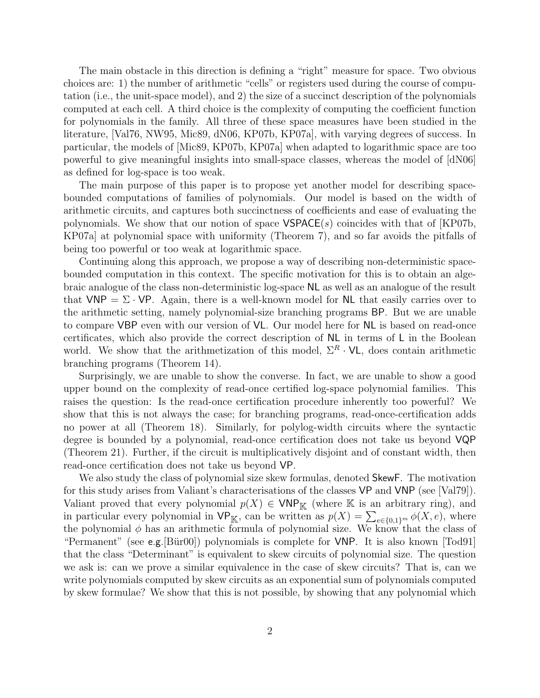The main obstacle in this direction is defining a "right" measure for space. Two obvious choices are: 1) the number of arithmetic "cells" or registers used during the course of computation (i.e., the unit-space model), and 2) the size of a succinct description of the polynomials computed at each cell. A third choice is the complexity of computing the coefficient function for polynomials in the family. All three of these space measures have been studied in the literature, [Val76, NW95, Mic89, dN06, KP07b, KP07a], with varying degrees of success. In particular, the models of [Mic89, KP07b, KP07a] when adapted to logarithmic space are too powerful to give meaningful insights into small-space classes, whereas the model of [dN06] as defined for log-space is too weak.

The main purpose of this paper is to propose yet another model for describing spacebounded computations of families of polynomials. Our model is based on the width of arithmetic circuits, and captures both succinctness of coefficients and ease of evaluating the polynomials. We show that our notion of space  $VSPACE(s)$  coincides with that of [KP07b, KP07a] at polynomial space with uniformity (Theorem 7), and so far avoids the pitfalls of being too powerful or too weak at logarithmic space.

Continuing along this approach, we propose a way of describing non-deterministic spacebounded computation in this context. The specific motivation for this is to obtain an algebraic analogue of the class non-deterministic log-space NL as well as an analogue of the result that VNP =  $\Sigma \cdot \text{VP}$ . Again, there is a well-known model for NL that easily carries over to the arithmetic setting, namely polynomial-size branching programs BP. But we are unable to compare VBP even with our version of VL. Our model here for NL is based on read-once certificates, which also provide the correct description of NL in terms of L in the Boolean world. We show that the arithmetization of this model,  $\Sigma^R \cdot \mathsf{VL}$ , does contain arithmetic branching programs (Theorem 14).

Surprisingly, we are unable to show the converse. In fact, we are unable to show a good upper bound on the complexity of read-once certified log-space polynomial families. This raises the question: Is the read-once certification procedure inherently too powerful? We show that this is not always the case; for branching programs, read-once-certification adds no power at all (Theorem 18). Similarly, for polylog-width circuits where the syntactic degree is bounded by a polynomial, read-once certification does not take us beyond VQP (Theorem 21). Further, if the circuit is multiplicatively disjoint and of constant width, then read-once certification does not take us beyond VP.

We also study the class of polynomial size skew formulas, denoted **SkewF**. The motivation for this study arises from Valiant's characterisations of the classes VP and VNP (see [Val79]). Valiant proved that every polynomial  $p(X) \in \text{VNP}_\mathbb{K}$  (where K is an arbitrary ring), and in particular every polynomial in  $VP_{\mathbb{K}}$ , can be written as  $p(X) = \sum_{e \in \{0,1\}^m} \phi(X, e)$ , where the polynomial  $\phi$  has an arithmetic formula of polynomial size. We know that the class of "Permanent" (see e.g.  $\text{Bür00}$ ) polynomials is complete for VNP. It is also known  $\text{Total91}$ that the class "Determinant" is equivalent to skew circuits of polynomial size. The question we ask is: can we prove a similar equivalence in the case of skew circuits? That is, can we write polynomials computed by skew circuits as an exponential sum of polynomials computed by skew formulae? We show that this is not possible, by showing that any polynomial which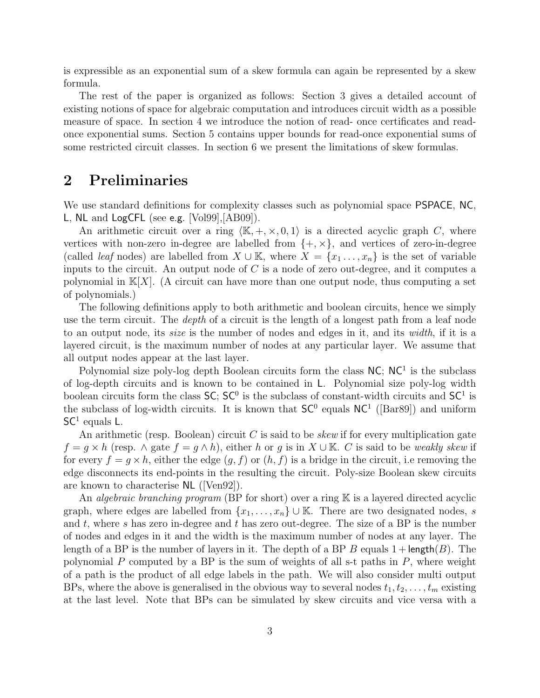is expressible as an exponential sum of a skew formula can again be represented by a skew formula.

The rest of the paper is organized as follows: Section 3 gives a detailed account of existing notions of space for algebraic computation and introduces circuit width as a possible measure of space. In section 4 we introduce the notion of read- once certificates and readonce exponential sums. Section 5 contains upper bounds for read-once exponential sums of some restricted circuit classes. In section 6 we present the limitations of skew formulas.

# 2 Preliminaries

We use standard definitions for complexity classes such as polynomial space **PSPACE**, NC, L, NL and LogCFL (see e.g. [Vol99],[AB09]).

An arithmetic circuit over a ring  $\langle K, +, \times, 0, 1 \rangle$  is a directed acyclic graph C, where vertices with non-zero in-degree are labelled from  $\{+, \times\}$ , and vertices of zero-in-degree (called *leaf* nodes) are labelled from  $X \cup \mathbb{K}$ , where  $X = \{x_1, \ldots, x_n\}$  is the set of variable inputs to the circuit. An output node of  $C$  is a node of zero out-degree, and it computes a polynomial in  $K[X]$ . (A circuit can have more than one output node, thus computing a set of polynomials.)

The following definitions apply to both arithmetic and boolean circuits, hence we simply use the term circuit. The *depth* of a circuit is the length of a longest path from a leaf node to an output node, its size is the number of nodes and edges in it, and its width, if it is a layered circuit, is the maximum number of nodes at any particular layer. We assume that all output nodes appear at the last layer.

Polynomial size poly-log depth Boolean circuits form the class  $NC$ ;  $NC<sup>1</sup>$  is the subclass of log-depth circuits and is known to be contained in L. Polynomial size poly-log width boolean circuits form the class  $SC$ ;  $SC<sup>0</sup>$  is the subclass of constant-width circuits and  $SC<sup>1</sup>$  is the subclass of log-width circuits. It is known that  $SC^0$  equals  $NC^1$  ([Bar89]) and uniform  $SC<sup>1</sup>$  equals L.

An arithmetic (resp. Boolean) circuit  $C$  is said to be *skew* if for every multiplication gate  $f = g \times h$  (resp.  $\wedge$  gate  $f = g \wedge h$ ), either h or g is in  $X \cup K$ . C is said to be weakly skew if for every  $f = g \times h$ , either the edge  $(g, f)$  or  $(h, f)$  is a bridge in the circuit, i.e removing the edge disconnects its end-points in the resulting the circuit. Poly-size Boolean skew circuits are known to characterise NL ([Ven92]).

An *algebraic branching program* (BP for short) over a ring  $K$  is a layered directed acyclic graph, where edges are labelled from  $\{x_1, \ldots, x_n\} \cup \mathbb{K}$ . There are two designated nodes, s and t, where s has zero in-degree and t has zero out-degree. The size of a BP is the number of nodes and edges in it and the width is the maximum number of nodes at any layer. The length of a BP is the number of layers in it. The depth of a BP B equals  $1 + \text{length}(B)$ . The polynomial  $P$  computed by a BP is the sum of weights of all s-t paths in  $P$ , where weight of a path is the product of all edge labels in the path. We will also consider multi output BPs, where the above is generalised in the obvious way to several nodes  $t_1, t_2, \ldots, t_m$  existing at the last level. Note that BPs can be simulated by skew circuits and vice versa with a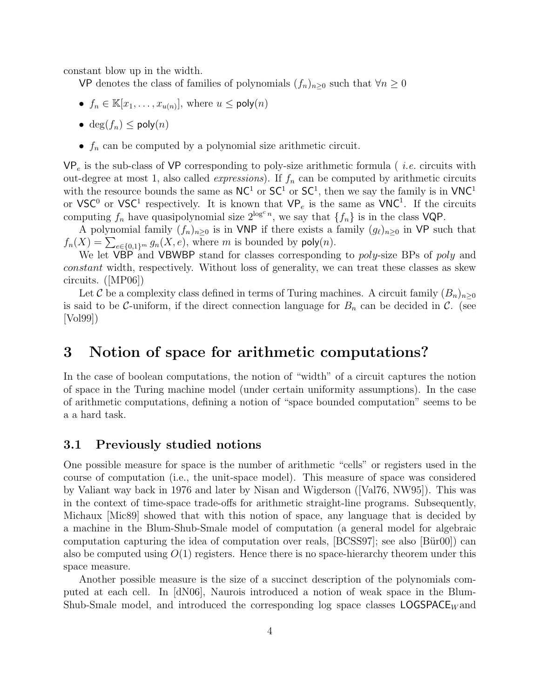constant blow up in the width.

VP denotes the class of families of polynomials  $(f_n)_{n\geq 0}$  such that  $\forall n\geq 0$ 

- $f_n \in \mathbb{K}[x_1, \ldots, x_{u(n)}],$  where  $u \le \text{poly}(n)$
- deg $(f_n)$  < poly $(n)$
- $f_n$  can be computed by a polynomial size arithmetic circuit.

 $VP_e$  is the sub-class of VP corresponding to poly-size arithmetic formula (*i.e.* circuits with out-degree at most 1, also called *expressions*). If  $f_n$  can be computed by arithmetic circuits with the resource bounds the same as  $NC<sup>1</sup>$  or  $SC<sup>1</sup>$ , then we say the family is in  $VNC<sup>1</sup>$ or VSC<sup>0</sup> or VSC<sup>1</sup> respectively. It is known that  $VP_e$  is the same as VNC<sup>1</sup>. If the circuits computing  $f_n$  have quasipolynomial size  $2^{\log^c n}$ , we say that  $\{f_n\}$  is in the class VQP.

A polynomial family  $(f_n)_{n\geq 0}$  is in VNP if there exists a family  $(g_\ell)_{n\geq 0}$  in VP such that  $f_n(X) = \sum_{e \in \{0,1\}^m} g_n(X,e)$ , where m is bounded by  $\mathsf{poly}(n)$ .

We let VBP and VBWBP stand for classes corresponding to poly-size BPs of poly and constant width, respectively. Without loss of generality, we can treat these classes as skew circuits. ([MP06])

Let C be a complexity class defined in terms of Turing machines. A circuit family  $(B_n)_{n>0}$ is said to be C-uniform, if the direct connection language for  $B_n$  can be decided in C. (see [Vol99])

# 3 Notion of space for arithmetic computations?

In the case of boolean computations, the notion of "width" of a circuit captures the notion of space in the Turing machine model (under certain uniformity assumptions). In the case of arithmetic computations, defining a notion of "space bounded computation" seems to be a a hard task.

### 3.1 Previously studied notions

One possible measure for space is the number of arithmetic "cells" or registers used in the course of computation (i.e., the unit-space model). This measure of space was considered by Valiant way back in 1976 and later by Nisan and Wigderson ([Val76, NW95]). This was in the context of time-space trade-offs for arithmetic straight-line programs. Subsequently, Michaux [Mic89] showed that with this notion of space, any language that is decided by a machine in the Blum-Shub-Smale model of computation (a general model for algebraic computation capturing the idea of computation over reals,  $[BCSS97]$ ; see also  $[Büro0]$  can also be computed using  $O(1)$  registers. Hence there is no space-hierarchy theorem under this space measure.

Another possible measure is the size of a succinct description of the polynomials computed at each cell. In [dN06], Naurois introduced a notion of weak space in the Blum-Shub-Smale model, and introduced the corresponding log space classes  $LOGSPACE<sub>W</sub>$  and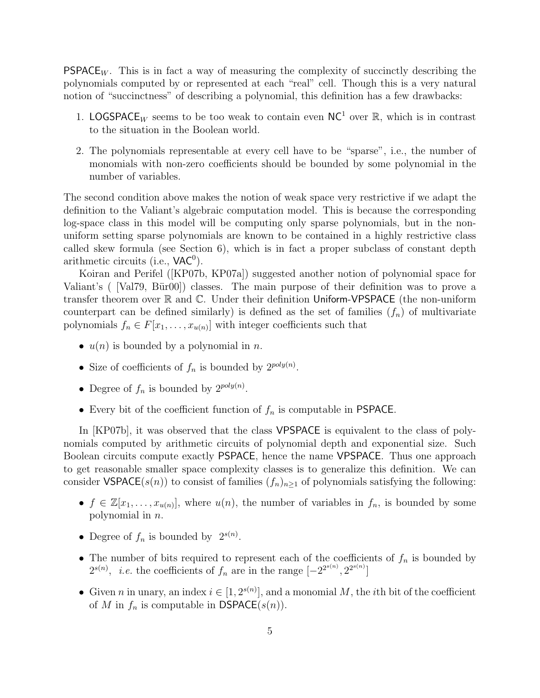**PSPACE** $_W$ . This is in fact a way of measuring the complexity of succinctly describing the polynomials computed by or represented at each "real" cell. Though this is a very natural notion of "succinctness" of describing a polynomial, this definition has a few drawbacks:

- 1. LOGSPACE<sub>W</sub> seems to be too weak to contain even  $NC^1$  over R, which is in contrast to the situation in the Boolean world.
- 2. The polynomials representable at every cell have to be "sparse", i.e., the number of monomials with non-zero coefficients should be bounded by some polynomial in the number of variables.

The second condition above makes the notion of weak space very restrictive if we adapt the definition to the Valiant's algebraic computation model. This is because the corresponding log-space class in this model will be computing only sparse polynomials, but in the nonuniform setting sparse polynomials are known to be contained in a highly restrictive class called skew formula (see Section 6), which is in fact a proper subclass of constant depth arithmetic circuits (i.e.,  $VAC<sup>0</sup>$ ).

Koiran and Perifel ([KP07b, KP07a]) suggested another notion of polynomial space for Valiant's ( $\text{Val}(\text{Val}(\mathcal{V}) \mid \text{Val}(\mathcal{V}))$  classes. The main purpose of their definition was to prove a transfer theorem over  $\mathbb R$  and  $\mathbb C$ . Under their definition Uniform-VPSPACE (the non-uniform counterpart can be defined similarly) is defined as the set of families  $(f_n)$  of multivariate polynomials  $f_n \in F[x_1, \ldots, x_{u(n)}]$  with integer coefficients such that

- $u(n)$  is bounded by a polynomial in n.
- Size of coefficients of  $f_n$  is bounded by  $2^{poly(n)}$ .
- Degree of  $f_n$  is bounded by  $2^{poly(n)}$ .
- Every bit of the coefficient function of  $f_n$  is computable in PSPACE.

In [KP07b], it was observed that the class **VPSPACE** is equivalent to the class of polynomials computed by arithmetic circuits of polynomial depth and exponential size. Such Boolean circuits compute exactly PSPACE, hence the name VPSPACE. Thus one approach to get reasonable smaller space complexity classes is to generalize this definition. We can consider VSPACE(s(n)) to consist of families  $(f_n)_{n\geq 1}$  of polynomials satisfying the following:

- $f \in \mathbb{Z}[x_1,\ldots,x_{u(n)}],$  where  $u(n)$ , the number of variables in  $f_n$ , is bounded by some polynomial in n.
- Degree of  $f_n$  is bounded by  $2^{s(n)}$ .
- The number of bits required to represent each of the coefficients of  $f_n$  is bounded by  $2^{s(n)}$ , *i.e.* the coefficients of  $f_n$  are in the range  $[-2^{2^{s(n)}}, 2^{2^{s(n)}}]$
- Given *n* in unary, an index  $i \in [1, 2^{s(n)}]$ , and a monomial M, the *i*th bit of the coefficient of M in  $f_n$  is computable in  $\mathsf{DSPACE}(s(n)).$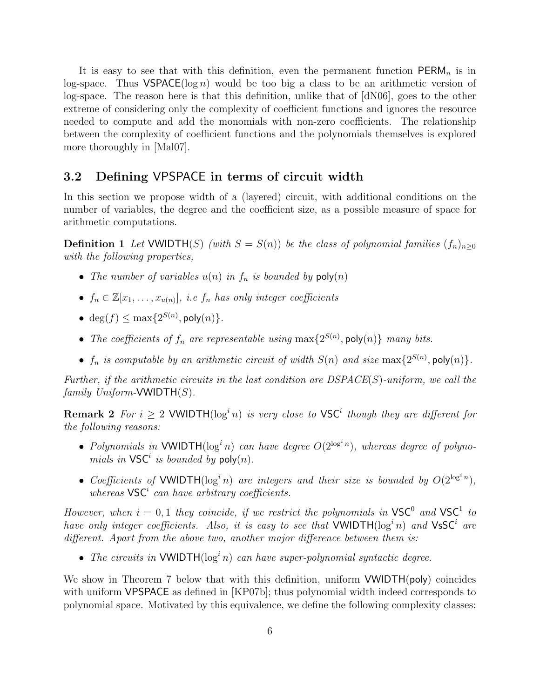It is easy to see that with this definition, even the permanent function  $PERM_n$  is in log-space. Thus  $VSPACE(log n)$  would be too big a class to be an arithmetic version of log-space. The reason here is that this definition, unlike that of [dN06], goes to the other extreme of considering only the complexity of coefficient functions and ignores the resource needed to compute and add the monomials with non-zero coefficients. The relationship between the complexity of coefficient functions and the polynomials themselves is explored more thoroughly in [Mal07].

### 3.2 Defining VPSPACE in terms of circuit width

In this section we propose width of a (layered) circuit, with additional conditions on the number of variables, the degree and the coefficient size, as a possible measure of space for arithmetic computations.

**Definition 1** Let VWIDTH(S) (with  $S = S(n)$ ) be the class of polynomial families  $(f_n)_{n>0}$ with the following properties,

- The number of variables  $u(n)$  in  $f_n$  is bounded by  $poly(n)$
- $f_n \in \mathbb{Z}[x_1,\ldots,x_{u(n)}],$  i.e  $f_n$  has only integer coefficients
- $\deg(f) \le \max\{2^{S(n)}, \text{poly}(n)\}.$
- The coefficients of  $f_n$  are representable using  $\max\{2^{S(n)}$ , poly $(n)\}$  many bits.
- $f_n$  is computable by an arithmetic circuit of width  $S(n)$  and size  $\max\{2^{S(n)}, \text{poly}(n)\}.$

Further, if the arithmetic circuits in the last condition are  $DSPACE(S)$ -uniform, we call the family  $Uniform\text{-}\text{VWIDTH}(S)$ .

**Remark 2** For  $i \geq 2$  VWIDTH( $\log^i n$ ) is very close to VSC<sup>i</sup> though they are different for the following reasons:

- Polynomials in VWIDTH( $log<sup>i</sup> n$ ) can have degree  $O(2^{\log^i n})$ , whereas degree of polynomials in  $\mathsf{VSC}^i$  is bounded by  $\mathsf{poly}(n)$ .
- Coefficients of VWIDTH( $log^i n$ ) are integers and their size is bounded by  $O(2^{\log^i n})$ , whereas  $\mathsf{VSC}^i$  can have arbitrary coefficients.

However, when  $i = 0, 1$  they coincide, if we restrict the polynomials in  $VSC^0$  and  $VSC^1$  to have only integer coefficients. Also, it is easy to see that VWIDTH( $\log^i n$ ) and VsSC<sup>i</sup> are different. Apart from the above two, another major difference between them is:

• The circuits in VWIDTH( $log<sup>i</sup> n$ ) can have super-polynomial syntactic degree.

We show in Theorem 7 below that with this definition, uniform **VWIDTH(poly)** coincides with uniform VPSPACE as defined in [KP07b]; thus polynomial width indeed corresponds to polynomial space. Motivated by this equivalence, we define the following complexity classes: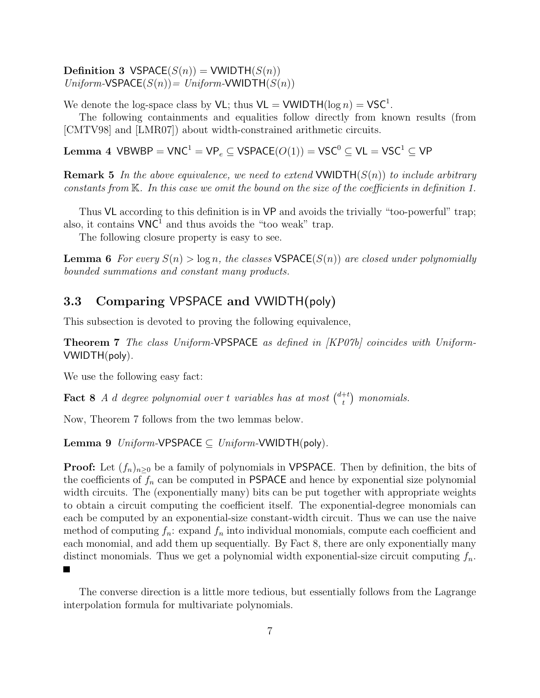Definition 3 VSPACE $(S(n))$  = VWIDTH $(S(n))$  $Uniform\text{-VSPACE}(S(n)) = Uniform\text{-VWIDTH}(S(n))$ 

We denote the log-space class by  $VL$ ; thus  $VL = VWIDTH(\log n) = VSC^1$ .

The following containments and equalities follow directly from known results (from [CMTV98] and [LMR07]) about width-constrained arithmetic circuits.

Lemma 4 VBWBP =  $VNC^1 = VP_e \subseteq VSPACE(O(1)) = VSC^0 \subseteq VL = VSC^1 \subseteq VP$ 

**Remark 5** In the above equivalence, we need to extend VWIDTH( $S(n)$ ) to include arbitrary constants from K. In this case we omit the bound on the size of the coefficients in definition 1.

Thus VL according to this definition is in VP and avoids the trivially "too-powerful" trap; also, it contains  $VNC^1$  and thus avoids the "too weak" trap.

The following closure property is easy to see.

**Lemma 6** For every  $S(n) > log n$ , the classes **VSPACE** $(S(n))$  are closed under polynomially bounded summations and constant many products.

### 3.3 Comparing VPSPACE and VWIDTH(poly)

This subsection is devoted to proving the following equivalence,

Theorem 7 The class Uniform-VPSPACE as defined in [KP07b] coincides with Uniform-VWIDTH(poly).

We use the following easy fact:

**Fact 8** A d degree polynomial over t variables has at most  $\binom{d+t}{t}$  $_{t}^{+t}$ ) monomials.

Now, Theorem 7 follows from the two lemmas below.

Lemma 9  $Uniform\text{-}VPSPACE \subseteq Uniform\text{-}VWIDTH(poly)$ .

**Proof:** Let  $(f_n)_{n>0}$  be a family of polynomials in VPSPACE. Then by definition, the bits of the coefficients of  $f_n$  can be computed in PSPACE and hence by exponential size polynomial width circuits. The (exponentially many) bits can be put together with appropriate weights to obtain a circuit computing the coefficient itself. The exponential-degree monomials can each be computed by an exponential-size constant-width circuit. Thus we can use the naive method of computing  $f_n$ : expand  $f_n$  into individual monomials, compute each coefficient and each monomial, and add them up sequentially. By Fact 8, there are only exponentially many distinct monomials. Thus we get a polynomial width exponential-size circuit computing  $f_n$ .  $\blacksquare$ 

The converse direction is a little more tedious, but essentially follows from the Lagrange interpolation formula for multivariate polynomials.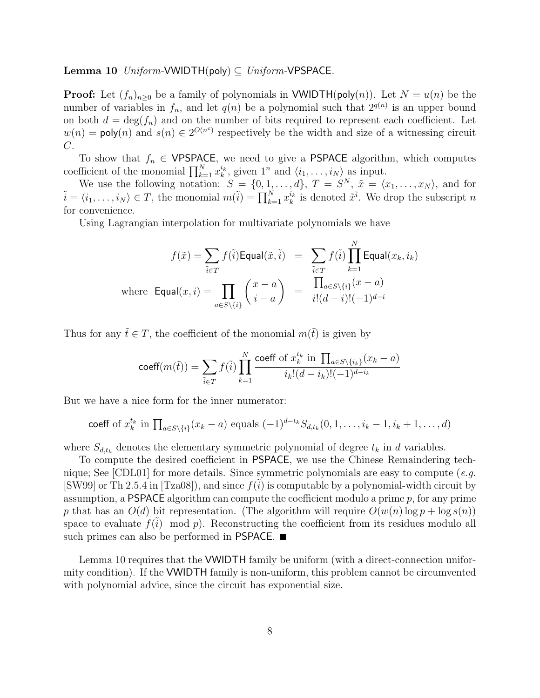**Lemma 10** Uniform-VWIDTH(poly)  $\subseteq$  Uniform-VPSPACE.

**Proof:** Let  $(f_n)_{n\geq 0}$  be a family of polynomials in **VWIDTH(poly(n))**. Let  $N = u(n)$  be the number of variables in  $f_n$ , and let  $q(n)$  be a polynomial such that  $2^{q(n)}$  is an upper bound on both  $d = \deg(f_n)$  and on the number of bits required to represent each coefficient. Let  $w(n) = \text{poly}(n)$  and  $s(n) \in 2^{O(n^c)}$  respectively be the width and size of a witnessing circuit  $C$ .

To show that  $f_n \in \text{VPSPACE}$ , we need to give a PSPACE algorithm, which computes coefficient of the monomial  $\prod_{k=1}^{N} x_k^{i_k}$ , given  $1^n$  and  $\langle i_1, \ldots, i_N \rangle$  as input.

We use the following notation:  $S = \{0, 1, \ldots, d\}, T = S^N, \tilde{x} = \langle x_1, \ldots, x_N \rangle$ , and for  $\tilde{i} = \langle i_1, \ldots, i_N \rangle \in T$ , the monomial  $m(\tilde{i}) = \prod_{k=1}^N x_k^{i_k}$  is denoted  $\tilde{x}^{\tilde{i}}$ . We drop the subscript n for convenience.

Using Lagrangian interpolation for multivariate polynomials we have

$$
f(\tilde{x}) = \sum_{\tilde{i} \in T} f(\tilde{i}) \text{Equal}(\tilde{x}, \tilde{i}) = \sum_{\tilde{i} \in T} f(\tilde{i}) \prod_{k=1}^{N} \text{Equal}(x_k, i_k)
$$
  
where  $\text{Equal}(x, i) = \prod_{a \in S \setminus \{i\}} \left( \frac{x - a}{i - a} \right) = \frac{\prod_{a \in S \setminus \{i\}} (x - a)}{i!(d - i)!(-1)^{d - i}}$ 

Thus for any  $\tilde{t} \in T$ , the coefficient of the monomial  $m(\tilde{t})$  is given by

$$
\text{coeff}(m(\tilde{t})) = \sum_{\tilde{i} \in T} f(\tilde{i}) \prod_{k=1}^{N} \frac{\text{coeff of } x_k^{t_k} \text{ in } \prod_{a \in S \setminus \{i_k\}} (x_k - a)}{i_k!(d - i_k)! (-1)^{d - i_k}}
$$

But we have a nice form for the inner numerator:

coeff of 
$$
x_k^{t_k}
$$
 in  $\prod_{a \in S \setminus \{i\}} (x_k - a)$  equals  $(-1)^{d-t_k} S_{d,t_k}(0, 1, \ldots, i_k - 1, i_k + 1, \ldots, d)$ 

where  $S_{d,t_k}$  denotes the elementary symmetric polynomial of degree  $t_k$  in d variables.

To compute the desired coefficient in PSPACE, we use the Chinese Remaindering technique; See [CDL01] for more details. Since symmetric polynomials are easy to compute (e.g. [SW99] or Th 2.5.4 in [Tza08]), and since  $f(i)$  is computable by a polynomial-width circuit by assumption, a **PSPACE** algorithm can compute the coefficient modulo a prime  $p$ , for any prime p that has an  $O(d)$  bit representation. (The algorithm will require  $O(w(n) \log p + \log s(n))$ space to evaluate  $f(i) \mod p$ . Reconstructing the coefficient from its residues modulo all such primes can also be performed in PSPACE.

Lemma 10 requires that the VWIDTH family be uniform (with a direct-connection uniformity condition). If the VWIDTH family is non-uniform, this problem cannot be circumvented with polynomial advice, since the circuit has exponential size.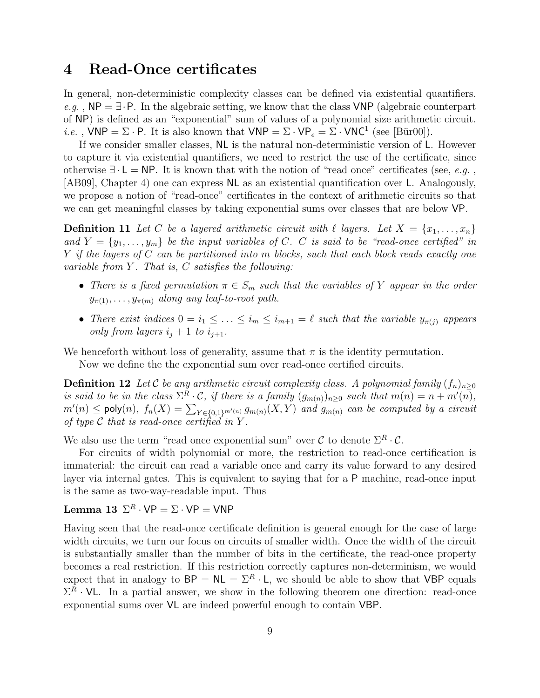# 4 Read-Once certificates

In general, non-deterministic complexity classes can be defined via existential quantifiers. e.g.,  $NP = \exists \cdot P$ . In the algebraic setting, we know that the class VNP (algebraic counterpart of NP) is defined as an "exponential" sum of values of a polynomial size arithmetic circuit. *i.e.*,  $VNP = \Sigma \cdot P$ . It is also known that  $VNP = \Sigma \cdot VP_e = \Sigma \cdot VNC^1$  (see [Bür00]).

If we consider smaller classes, NL is the natural non-deterministic version of L. However to capture it via existential quantifiers, we need to restrict the use of the certificate, since otherwise  $\exists \cdot L = NP$ . It is known that with the notion of "read once" certificates (see, e.g., [AB09], Chapter 4) one can express NL as an existential quantification over L. Analogously, we propose a notion of "read-once" certificates in the context of arithmetic circuits so that we can get meaningful classes by taking exponential sums over classes that are below VP.

**Definition 11** Let C be a layered arithmetic circuit with  $\ell$  layers. Let  $X = \{x_1, \ldots, x_n\}$ and  $Y = \{y_1, \ldots, y_m\}$  be the input variables of C. C is said to be "read-once certified" in  $Y$  if the layers of  $C$  can be partitioned into m blocks, such that each block reads exactly one variable from  $Y$ . That is,  $C$  satisfies the following:

- There is a fixed permutation  $\pi \in S_m$  such that the variables of Y appear in the order  $y_{\pi(1)}, \ldots, y_{\pi(m)}$  along any leaf-to-root path.
- There exist indices  $0 = i_1 \leq \ldots \leq i_m \leq i_{m+1} = \ell$  such that the variable  $y_{\pi(j)}$  appears only from layers  $i_j + 1$  to  $i_{j+1}$ .

We henceforth without loss of generality, assume that  $\pi$  is the identity permutation.

Now we define the the exponential sum over read-once certified circuits.

**Definition 12** Let C be any arithmetic circuit complexity class. A polynomial family  $(f_n)_{n\geq 0}$ is said to be in the class  $\Sigma^R \cdot C$ , if there is a family  $(g_{m(n)})_{n\geq 0}$  such that  $m(n) = n + m'(n)$ ,  $m'(n) \leq \text{poly}(n)$ ,  $f_n(X) = \sum_{Y \in \{0,1\}^{m'(n)}} g_{m(n)}(X, Y)$  and  $g_{m(n)}$  can be computed by a circuit of type  $\mathcal C$  that is read-once certified in Y.

We also use the term "read once exponential sum" over  $\mathcal C$  to denote  $\Sigma^R \cdot \mathcal C$ .

For circuits of width polynomial or more, the restriction to read-once certification is immaterial: the circuit can read a variable once and carry its value forward to any desired layer via internal gates. This is equivalent to saying that for a P machine, read-once input is the same as two-way-readable input. Thus

### Lemma 13  $\Sigma^R \cdot \text{VP} = \Sigma \cdot \text{VP} = \text{VNP}$

Having seen that the read-once certificate definition is general enough for the case of large width circuits, we turn our focus on circuits of smaller width. Once the width of the circuit is substantially smaller than the number of bits in the certificate, the read-once property becomes a real restriction. If this restriction correctly captures non-determinism, we would expect that in analogy to  $BP = NL = \Sigma^R \cdot L$ , we should be able to show that VBP equals  $\Sigma^R \cdot \mathsf{VL}$ . In a partial answer, we show in the following theorem one direction: read-once exponential sums over VL are indeed powerful enough to contain VBP.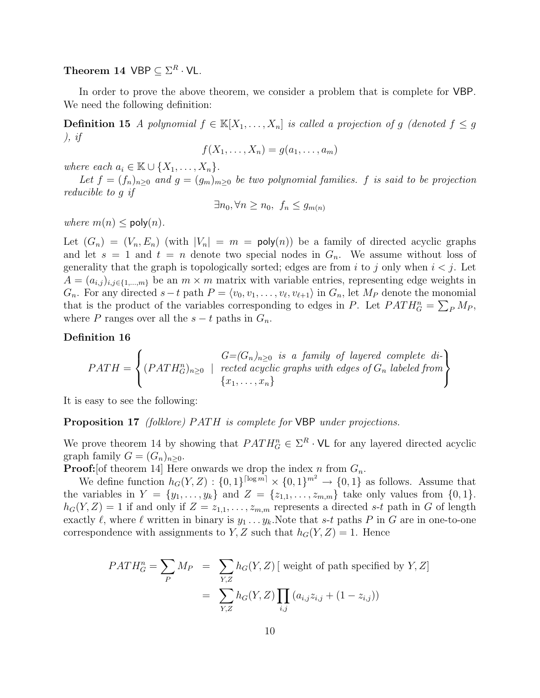Theorem 14  $VBP \subseteq \Sigma^R \cdot \mathsf{VL}.$ 

In order to prove the above theorem, we consider a problem that is complete for VBP. We need the following definition:

**Definition 15** A polynomial  $f \in \mathbb{K}[X_1, \ldots, X_n]$  is called a projection of g (denoted  $f \leq g$ ), if

$$
f(X_1,\ldots,X_n)=g(a_1,\ldots,a_m)
$$

where each  $a_i \in \mathbb{K} \cup \{X_1, \ldots, X_n\}.$ 

Let  $f = (f_n)_{n \geq 0}$  and  $g = (g_m)_{m \geq 0}$  be two polynomial families. f is said to be projection reducible to g if

$$
\exists n_0, \forall n \ge n_0, f_n \le g_{m(n)}
$$

where  $m(n) \leq \text{poly}(n)$ .

Let  $(G_n) = (V_n, E_n)$  (with  $|V_n| = m = \text{poly}(n)$ ) be a family of directed acyclic graphs and let  $s = 1$  and  $t = n$  denote two special nodes in  $G_n$ . We assume without loss of generality that the graph is topologically sorted; edges are from i to j only when  $i < j$ . Let  $A = (a_{i,j})_{i,j\in\{1,\dots,m\}}$  be an  $m \times m$  matrix with variable entries, representing edge weights in  $G_n$ . For any directed  $s-t$  path  $P = \langle v_0, v_1, \ldots, v_\ell, v_{\ell+1} \rangle$  in  $G_n$ , let  $M_P$  denote the monomial that is the product of the variables corresponding to edges in P. Let  $PATH_G^n = \sum_P M_P$ , where P ranges over all the  $s - t$  paths in  $G_n$ .

#### Definition 16

$$
PATH = \left\{ (PATH_{G}^{n})_{n\geq 0} \mid \begin{array}{l} G=(G_{n})_{n\geq 0} \text{ is a family of layered complete di-} \\ \text{rected acyclic graphs with edges of } G_{n} \text{ labeled from} \\ \{x_{1}, \ldots, x_{n}\} \end{array} \right\}
$$

It is easy to see the following:

**Proposition 17** (folklore) PATH is complete for VBP under projections.

We prove theorem 14 by showing that  $PATH_G^n \in \Sigma^R \cdot \mathsf{VL}$  for any layered directed acyclic graph family  $G = (G_n)_{n \geq 0}$ .

**Proof:** [of theorem 14] Here onwards we drop the index n from  $G_n$ .

We define function  $h_G(Y, Z) : \{0, 1\}^{\lceil \log m \rceil} \times \{0, 1\}^{m^2} \to \{0, 1\}$  as follows. Assume that the variables in  $Y = \{y_1, \ldots, y_k\}$  and  $Z = \{z_{1,1}, \ldots, z_{m,m}\}\$  take only values from  $\{0, 1\}$ .  $h_G(Y, Z) = 1$  if and only if  $Z = z_{1,1}, \ldots, z_{m,m}$  represents a directed s-t path in G of length exactly  $\ell$ , where  $\ell$  written in binary is  $y_1 \ldots y_k$ . Note that s-t paths P in G are in one-to-one correspondence with assignments to Y, Z such that  $h_G(Y, Z) = 1$ . Hence

$$
PATH_G^n = \sum_P M_P = \sum_{Y,Z} h_G(Y,Z) \text{ [ weight of path specified by } Y, Z]
$$

$$
= \sum_{Y,Z} h_G(Y,Z) \prod_{i,j} (a_{i,j}z_{i,j} + (1 - z_{i,j}))
$$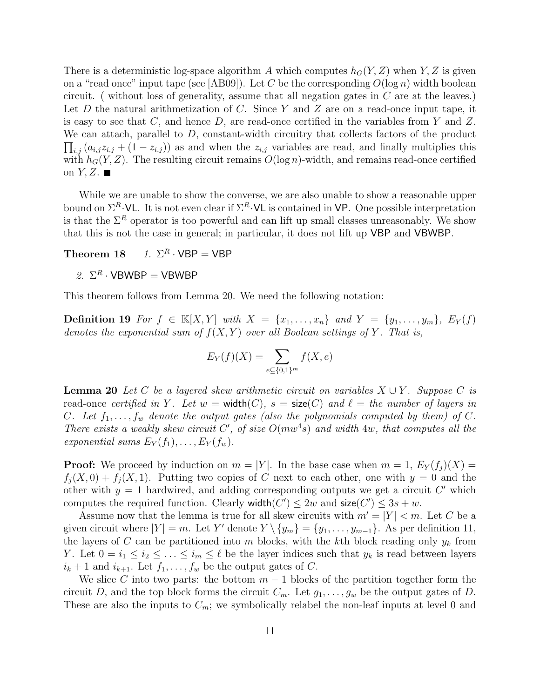There is a deterministic log-space algorithm A which computes  $h_G(Y, Z)$  when Y, Z is given on a "read once" input tape (see [AB09]). Let C be the corresponding  $O(\log n)$  width boolean circuit. ( without loss of generality, assume that all negation gates in  $C$  are at the leaves.) Let D the natural arithmetization of C. Since Y and Z are on a read-once input tape, it is easy to see that  $C$ , and hence  $D$ , are read-once certified in the variables from Y and Z. We can attach, parallel to  $D$ , constant-width circuitry that collects factors of the product  $\prod_{i,j} (a_{i,j}z_{i,j} + (1-z_{i,j}))$  as and when the  $z_{i,j}$  variables are read, and finally multiplies this with  $h_G(Y, Z)$ . The resulting circuit remains  $O(\log n)$ -width, and remains read-once certified on  $Y, Z$ .

While we are unable to show the converse, we are also unable to show a reasonable upper bound on  $\Sigma^R \cdot$ VL. It is not even clear if  $\Sigma^R \cdot$ VL is contained in VP. One possible interpretation is that the  $\Sigma^R$  operator is too powerful and can lift up small classes unreasonably. We show that this is not the case in general; in particular, it does not lift up VBP and VBWBP.

Theorem 18 1.  $\Sigma^R \cdot \text{VBP} = \text{VBP}$ 

2.  $\Sigma^R \cdot \mathsf{VBWBP} = \mathsf{VBWBP}$ 

This theorem follows from Lemma 20. We need the following notation:

Definition 19 For  $f \in \mathbb{K}[X, Y]$  with  $X = \{x_1, \ldots, x_n\}$  and  $Y = \{y_1, \ldots, y_m\}$ ,  $E_Y(f)$ denotes the exponential sum of  $f(X, Y)$  over all Boolean settings of Y. That is,

$$
E_Y(f)(X) = \sum_{e \subseteq \{0,1\}^m} f(X, e)
$$

**Lemma 20** Let C be a layered skew arithmetic circuit on variables  $X \cup Y$ . Suppose C is read-once certified in Y. Let  $w = \text{width}(C)$ ,  $s = \text{size}(C)$  and  $\ell =$  the number of layers in C. Let  $f_1, \ldots, f_w$  denote the output gates (also the polynomials computed by them) of C. There exists a weakly skew circuit C', of size  $O(mw^4s)$  and width 4w, that computes all the exponential sums  $E_Y(f_1), \ldots, E_Y(f_w)$ .

**Proof:** We proceed by induction on  $m = |Y|$ . In the base case when  $m = 1$ ,  $E_Y(f_i)(X) =$  $f_i(X,0) + f_i(X,1)$ . Putting two copies of C next to each other, one with  $y = 0$  and the other with  $y = 1$  hardwired, and adding corresponding outputs we get a circuit  $C'$  which computes the required function. Clearly width $(C') \leq 2w$  and  $size(C') \leq 3s + w$ .

Assume now that the lemma is true for all skew circuits with  $m' = |Y| < m$ . Let C be a given circuit where  $|Y| = m$ . Let Y' denote  $Y \setminus \{y_m\} = \{y_1, \ldots, y_{m-1}\}$ . As per definition 11, the layers of C can be partitioned into m blocks, with the kth block reading only  $y_k$  from Y. Let  $0 = i_1 \leq i_2 \leq \ldots \leq i_m \leq \ell$  be the layer indices such that  $y_k$  is read between layers  $i_k + 1$  and  $i_{k+1}$ . Let  $f_1, \ldots, f_w$  be the output gates of C.

We slice C into two parts: the bottom  $m-1$  blocks of the partition together form the circuit D, and the top block forms the circuit  $C_m$ . Let  $g_1, \ldots, g_w$  be the output gates of D. These are also the inputs to  $C_m$ ; we symbolically relabel the non-leaf inputs at level 0 and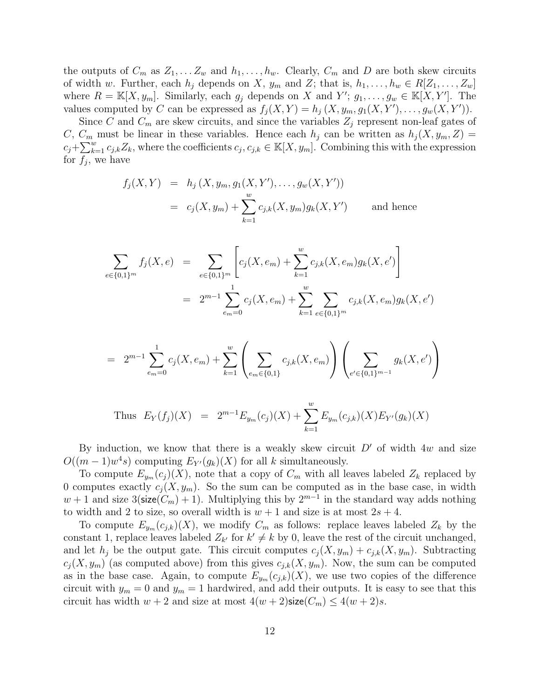the outputs of  $C_m$  as  $Z_1, \ldots, Z_w$  and  $h_1, \ldots, h_w$ . Clearly,  $C_m$  and D are both skew circuits of width w. Further, each  $h_j$  depends on X,  $y_m$  and Z; that is,  $h_1, \ldots, h_w \in R[Z_1, \ldots, Z_w]$ where  $R = \mathbb{K}[X, y_m]$ . Similarly, each  $g_j$  depends on X and Y';  $g_1, \ldots, g_w \in \mathbb{K}[X, Y']$ . The values computed by C can be expressed as  $f_j(X,Y) = h_j(X, y_m, g_1(X,Y'), \ldots, g_w(X,Y')).$ 

Since C and  $C_m$  are skew circuits, and since the variables  $Z_i$  represent non-leaf gates of C,  $C_m$  must be linear in these variables. Hence each  $h_j$  can be written as  $h_j(X, y_m, Z) =$  $c_j + \sum_{k=1}^w c_{j,k} Z_k$ , where the coefficients  $c_j, c_{j,k} \in \mathbb{K}[X, y_m]$ . Combining this with the expression for  $f_j$ , we have

$$
f_j(X, Y) = h_j(X, y_m, g_1(X, Y'), \dots, g_w(X, Y'))
$$
  
=  $c_j(X, y_m) + \sum_{k=1}^w c_{j,k}(X, y_m)g_k(X, Y')$  and hence

$$
\sum_{e \in \{0,1\}^m} f_j(X,e) = \sum_{e \in \{0,1\}^m} \left[ c_j(X,e_m) + \sum_{k=1}^w c_{j,k}(X,e_m) g_k(X,e') \right]
$$
  
= 
$$
2^{m-1} \sum_{e_m=0}^1 c_j(X,e_m) + \sum_{k=1}^w \sum_{e \in \{0,1\}^m} c_{j,k}(X,e_m) g_k(X,e')
$$

$$
= 2^{m-1} \sum_{e_m=0}^{1} c_j(X, e_m) + \sum_{k=1}^{w} \left( \sum_{e_m \in \{0,1\}} c_{j,k}(X, e_m) \right) \left( \sum_{e' \in \{0,1\}^{m-1}} g_k(X, e') \right)
$$

Thus 
$$
E_Y(f_j)(X) = 2^{m-1}E_{y_m}(c_j)(X) + \sum_{k=1}^w E_{y_m}(c_{j,k})(X)E_{Y'}(g_k)(X)
$$

By induction, we know that there is a weakly skew circuit  $D'$  of width 4w and size  $O((m-1)w^4s)$  computing  $E_{Y}(g_k)(X)$  for all k simultaneously.

To compute  $E_{y_m}(c_j)(X)$ , note that a copy of  $C_m$  with all leaves labeled  $Z_k$  replaced by 0 computes exactly  $c_i(X, y_m)$ . So the sum can be computed as in the base case, in width  $w + 1$  and size 3(size( $C_m$ ) + 1). Multiplying this by  $2^{m-1}$  in the standard way adds nothing to width and 2 to size, so overall width is  $w + 1$  and size is at most  $2s + 4$ .

To compute  $E_{y_m}(c_{j,k})(X)$ , we modify  $C_m$  as follows: replace leaves labeled  $Z_k$  by the constant 1, replace leaves labeled  $Z_{k'}$  for  $k' \neq k$  by 0, leave the rest of the circuit unchanged, and let  $h_j$  be the output gate. This circuit computes  $c_j(X, y_m) + c_{j,k}(X, y_m)$ . Subtracting  $c_j(X, y_m)$  (as computed above) from this gives  $c_{j,k}(X, y_m)$ . Now, the sum can be computed as in the base case. Again, to compute  $E_{y_m}(c_{j,k})(X)$ , we use two copies of the difference circuit with  $y_m = 0$  and  $y_m = 1$  hardwired, and add their outputs. It is easy to see that this circuit has width  $w + 2$  and size at most  $4(w + 2)$ size $(C_m) \leq 4(w + 2)s$ .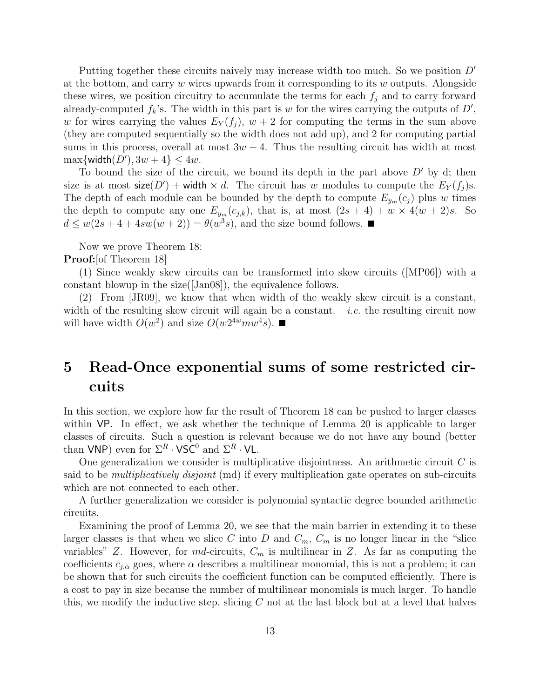Putting together these circuits naively may increase width too much. So we position  $D'$ at the bottom, and carry  $w$  wires upwards from it corresponding to its  $w$  outputs. Alongside these wires, we position circuitry to accumulate the terms for each  $f_i$  and to carry forward already-computed  $f_k$ 's. The width in this part is w for the wires carrying the outputs of  $D'$ , w for wires carrying the values  $E_Y(f_i)$ ,  $w + 2$  for computing the terms in the sum above (they are computed sequentially so the width does not add up), and 2 for computing partial sums in this process, overall at most  $3w + 4$ . Thus the resulting circuit has width at most  $\max\{\textsf{width}(D'), 3w + 4\} \le 4w.$ 

To bound the size of the circuit, we bound its depth in the part above  $D'$  by d; then size is at most  $\mathsf{size}(D') + \mathsf{width} \times d$ . The circuit has w modules to compute the  $E_Y(f_j)$ s. The depth of each module can be bounded by the depth to compute  $E_{y_m}(c_i)$  plus w times the depth to compute any one  $E_{y_m}(c_{j,k})$ , that is, at most  $(2s + 4) + w \times 4(w + 2)s$ . So  $d \leq w(2s+4+4sw(w+2)) = \theta(w^3s)$ , and the size bound follows.

Now we prove Theorem 18:

**Proof:** [of Theorem 18]

(1) Since weakly skew circuits can be transformed into skew circuits ([MP06]) with a constant blowup in the size([Jan08]), the equivalence follows.

(2) From [JR09], we know that when width of the weakly skew circuit is a constant, width of the resulting skew circuit will again be a constant. *i.e.* the resulting circuit now will have width  $O(w^2)$  and size  $O(w2^{4w}mw^4s)$ .

# 5 Read-Once exponential sums of some restricted circuits

In this section, we explore how far the result of Theorem 18 can be pushed to larger classes within VP. In effect, we ask whether the technique of Lemma 20 is applicable to larger classes of circuits. Such a question is relevant because we do not have any bound (better than VNP) even for  $\Sigma^R \cdot \mathsf{VSC}^0$  and  $\Sigma^R \cdot \mathsf{VL}$ .

One generalization we consider is multiplicative disjointness. An arithmetic circuit  $C$  is said to be *multiplicatively disjoint* (md) if every multiplication gate operates on sub-circuits which are not connected to each other.

A further generalization we consider is polynomial syntactic degree bounded arithmetic circuits.

Examining the proof of Lemma 20, we see that the main barrier in extending it to these larger classes is that when we slice C into D and  $C_m$ ,  $C_m$  is no longer linear in the "slice variables" Z. However, for md-circuits,  $C_m$  is multilinear in Z. As far as computing the coefficients  $c_{i,\alpha}$  goes, where  $\alpha$  describes a multilinear monomial, this is not a problem; it can be shown that for such circuits the coefficient function can be computed efficiently. There is a cost to pay in size because the number of multilinear monomials is much larger. To handle this, we modify the inductive step, slicing  $C$  not at the last block but at a level that halves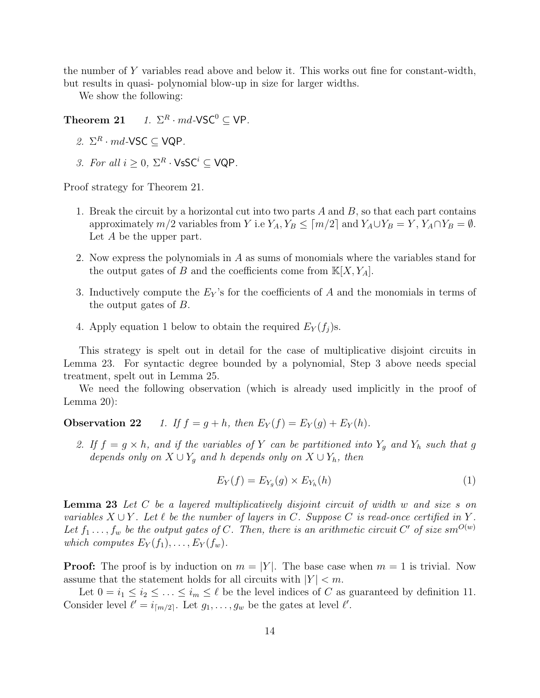the number of Y variables read above and below it. This works out fine for constant-width, but results in quasi- polynomial blow-up in size for larger widths.

We show the following:

Theorem 21 1.  $\Sigma^R \cdot md$ -VSC<sup>0</sup>  $\subset$  VP.

- 2.  $\Sigma^R \cdot md$ -VSC  $\subseteq$  VQP.
- 3. For all  $i \geq 0$ ,  $\Sigma^R \cdot \mathsf{VsSC}^i \subseteq \mathsf{VQP}$ .

Proof strategy for Theorem 21.

- 1. Break the circuit by a horizontal cut into two parts  $A$  and  $B$ , so that each part contains approximately  $m/2$  variables from Y i.e  $Y_A, Y_B \leq \lceil m/2 \rceil$  and  $Y_A \cup Y_B = Y, Y_A \cap Y_B = \emptyset$ . Let A be the upper part.
- 2. Now express the polynomials in A as sums of monomials where the variables stand for the output gates of B and the coefficients come from  $\mathbb{K}[X, Y_A]$ .
- 3. Inductively compute the  $E_Y$ 's for the coefficients of A and the monomials in terms of the output gates of B.
- 4. Apply equation 1 below to obtain the required  $E_Y(f_j)$ s.

This strategy is spelt out in detail for the case of multiplicative disjoint circuits in Lemma 23. For syntactic degree bounded by a polynomial, Step 3 above needs special treatment, spelt out in Lemma 25.

We need the following observation (which is already used implicitly in the proof of Lemma 20):

**Observation 22** 1. If  $f = g + h$ , then  $E_Y(f) = E_Y(g) + E_Y(h)$ .

2. If  $f = g \times h$ , and if the variables of Y can be partitioned into Y<sub>g</sub> and Y<sub>h</sub> such that g depends only on  $X \cup Y_q$  and h depends only on  $X \cup Y_h$ , then

$$
E_Y(f) = E_{Y_g}(g) \times E_{Y_h}(h) \tag{1}
$$

Lemma 23 Let C be a layered multiplicatively disjoint circuit of width w and size s on variables  $X \cup Y$ . Let  $\ell$  be the number of layers in C. Suppose C is read-once certified in Y. Let  $f_1 \ldots, f_w$  be the output gates of C. Then, there is an arithmetic circuit C' of size sm<sup>O(w)</sup> which computes  $E_Y(f_1), \ldots, E_Y(f_w)$ .

**Proof:** The proof is by induction on  $m = |Y|$ . The base case when  $m = 1$  is trivial. Now assume that the statement holds for all circuits with  $|Y| < m$ .

Let  $0 = i_1 \le i_2 \le \ldots \le i_m \le \ell$  be the level indices of C as guaranteed by definition 11. Consider level  $\ell' = i_{\lceil m/2 \rceil}$ . Let  $g_1, \ldots, g_w$  be the gates at level  $\ell'$ .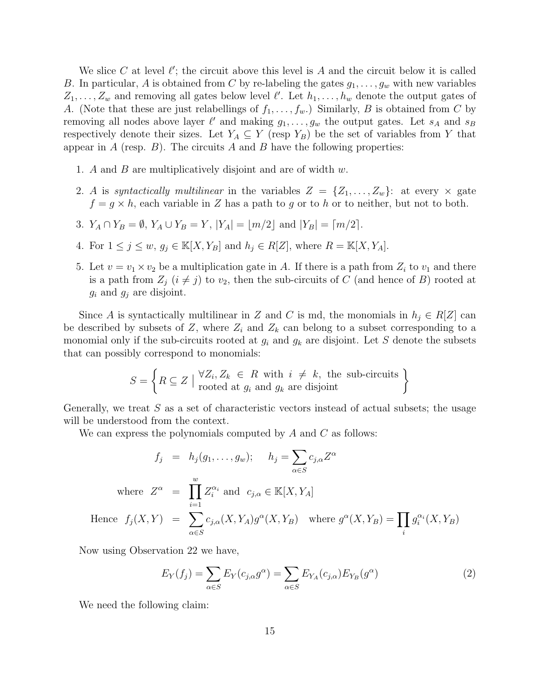We slice C at level  $\ell'$ ; the circuit above this level is A and the circuit below it is called B. In particular, A is obtained from C by re-labeling the gates  $g_1, \ldots, g_w$  with new variables  $Z_1, \ldots, Z_w$  and removing all gates below level  $\ell'$ . Let  $h_1, \ldots, h_w$  denote the output gates of A. (Note that these are just relabellings of  $f_1, \ldots, f_w$ .) Similarly, B is obtained from C by removing all nodes above layer  $\ell'$  and making  $g_1, \ldots, g_w$  the output gates. Let  $s_A$  and  $s_B$ respectively denote their sizes. Let  $Y_A \subseteq Y$  (resp  $Y_B$ ) be the set of variables from Y that appear in A (resp.  $B$ ). The circuits A and B have the following properties:

- 1. A and B are multiplicatively disjoint and are of width  $w$ .
- 2. A is syntactically multilinear in the variables  $Z = \{Z_1, \ldots, Z_w\}$ : at every  $\times$  gate  $f = g \times h$ , each variable in Z has a path to g or to h or to neither, but not to both.
- 3.  $Y_A \cap Y_B = \emptyset$ ,  $Y_A \cup Y_B = Y$ ,  $|Y_A| = |m/2|$  and  $|Y_B| = [m/2]$ .
- 4. For  $1 \leq j \leq w$ ,  $g_j \in \mathbb{K}[X, Y_B]$  and  $h_j \in R[Z]$ , where  $R = \mathbb{K}[X, Y_A]$ .
- 5. Let  $v = v_1 \times v_2$  be a multiplication gate in A. If there is a path from  $Z_i$  to  $v_1$  and there is a path from  $Z_j$   $(i \neq j)$  to  $v_2$ , then the sub-circuits of C (and hence of B) rooted at  $g_i$  and  $g_j$  are disjoint.

Since A is syntactically multilinear in Z and C is md, the monomials in  $h_j \in R[Z]$  can be described by subsets of Z, where  $Z_i$  and  $Z_k$  can belong to a subset corresponding to a monomial only if the sub-circuits rooted at  $g_i$  and  $g_k$  are disjoint. Let S denote the subsets that can possibly correspond to monomials:

$$
S = \left\{ R \subseteq Z \mid \begin{matrix} \forall Z_i, Z_k \in R \text{ with } i \neq k, \text{ the sub-circuits} \\ \text{rooted at } g_i \text{ and } g_k \text{ are disjoint} \end{matrix} \right\}
$$

Generally, we treat  $S$  as a set of characteristic vectors instead of actual subsets; the usage will be understood from the context.

We can express the polynomials computed by  $A$  and  $C$  as follows:

$$
f_j = h_j(g_1, \dots, g_w); \quad h_j = \sum_{\alpha \in S} c_{j,\alpha} Z^{\alpha}
$$
  
where  $Z^{\alpha} = \prod_{i=1}^w Z_i^{\alpha_i}$  and  $c_{j,\alpha} \in \mathbb{K}[X, Y_A]$   
Hence  $f_j(X, Y) = \sum_{\alpha \in S} c_{j,\alpha}(X, Y_A) g^{\alpha}(X, Y_B)$  where  $g^{\alpha}(X, Y_B) = \prod_i g_i^{\alpha_i}(X, Y_B)$ 

Now using Observation 22 we have,

$$
E_Y(f_j) = \sum_{\alpha \in S} E_Y(c_{j,\alpha} g^{\alpha}) = \sum_{\alpha \in S} E_{Y_A}(c_{j,\alpha}) E_{Y_B}(g^{\alpha})
$$
\n(2)

We need the following claim: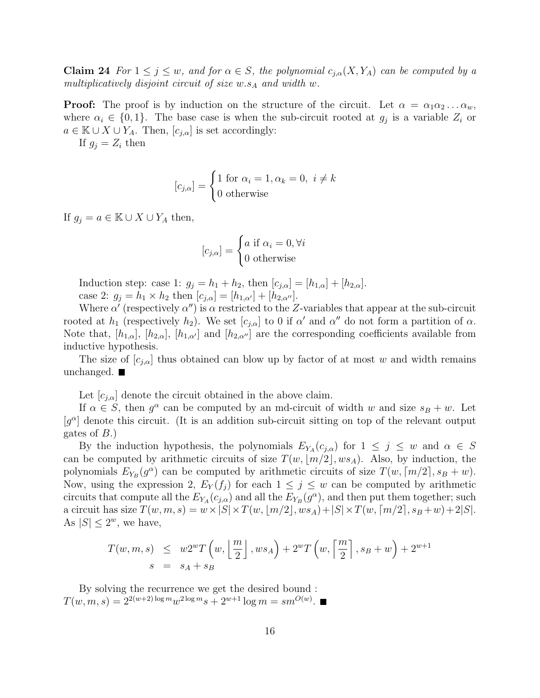**Claim 24** For  $1 \leq j \leq w$ , and for  $\alpha \in S$ , the polynomial  $c_{j,\alpha}(X, Y_A)$  can be computed by a multiplicatively disjoint circuit of size  $w.s_A$  and width w.

**Proof:** The proof is by induction on the structure of the circuit. Let  $\alpha = \alpha_1 \alpha_2 \ldots \alpha_w$ , where  $\alpha_i \in \{0,1\}$ . The base case is when the sub-circuit rooted at  $g_j$  is a variable  $Z_i$  or  $a \in \mathbb{K} \cup X \cup Y_A$ . Then,  $[c_{j,\alpha}]$  is set accordingly:

If  $g_i = Z_i$  then

$$
[c_{j,\alpha}] = \begin{cases} 1 \text{ for } \alpha_i = 1, \alpha_k = 0, \ i \neq k \\ 0 \text{ otherwise} \end{cases}
$$

If  $g_i = a \in \mathbb{K} \cup X \cup Y_A$  then,

$$
[c_{j,\alpha}] = \begin{cases} a \text{ if } \alpha_i = 0, \forall i \\ 0 \text{ otherwise} \end{cases}
$$

Induction step: case 1:  $g_j = h_1 + h_2$ , then  $[c_{j,\alpha}] = [h_{1,\alpha}] + [h_{2,\alpha}]$ . case 2:  $g_j = h_1 \times h_2$  then  $[c_{j,\alpha}] = [h_{1,\alpha'}] + [h_{2,\alpha''}].$ 

Where  $\alpha'$  (respectively  $\alpha''$ ) is  $\alpha$  restricted to the Z-variables that appear at the sub-circuit rooted at  $h_1$  (respectively  $h_2$ ). We set  $[c_{j,\alpha}]$  to 0 if  $\alpha'$  and  $\alpha''$  do not form a partition of  $\alpha$ . Note that,  $[h_{1,\alpha}]$ ,  $[h_{2,\alpha}]$ ,  $[h_{1,\alpha'}]$  and  $[h_{2,\alpha''}]$  are the corresponding coefficients available from inductive hypothesis.

The size of  $[c_{i,\alpha}]$  thus obtained can blow up by factor of at most w and width remains unchanged.  $\blacksquare$ 

Let  $[c_{j,\alpha}]$  denote the circuit obtained in the above claim.

If  $\alpha \in S$ , then  $g^{\alpha}$  can be computed by an md-circuit of width w and size  $s_B + w$ . Let  $[g^{\alpha}]$  denote this circuit. (It is an addition sub-circuit sitting on top of the relevant output gates of  $B.$ )

By the induction hypothesis, the polynomials  $E_{Y_A}(c_{j,\alpha})$  for  $1 \leq j \leq w$  and  $\alpha \in S$ can be computed by arithmetic circuits of size  $T(w, \lfloor m/2 \rfloor, ws_A)$ . Also, by induction, the polynomials  $E_{Y_B}(g^{\alpha})$  can be computed by arithmetic circuits of size  $T(w, \lceil m/2 \rceil, s_B + w)$ . Now, using the expression 2,  $E_Y(f_i)$  for each  $1 \leq j \leq w$  can be computed by arithmetic circuits that compute all the  $E_{Y_A}(c_{j,\alpha})$  and all the  $E_{Y_B}(g^{\alpha})$ , and then put them together; such a circuit has size  $T(w, m, s) = w \times |S| \times T(w, |m/2|, ws_A) + |S| \times T(w, [m/2], s_B + w) + 2|S|$ . As  $|S| \leq 2^w$ , we have,

$$
T(w, m, s) \leq w2^{w}T\left(w, \left\lfloor \frac{m}{2} \right\rfloor, ws_A\right) + 2^{w}T\left(w, \left\lceil \frac{m}{2} \right\rceil, s_B + w\right) + 2^{w+1}
$$
  

$$
s = s_A + s_B
$$

By solving the recurrence we get the desired bound :  $T(w, m, s) = 2^{2(w+2)\log m} w^{2\log m} s + 2^{w+1} \log m = sm^{O(w)}.$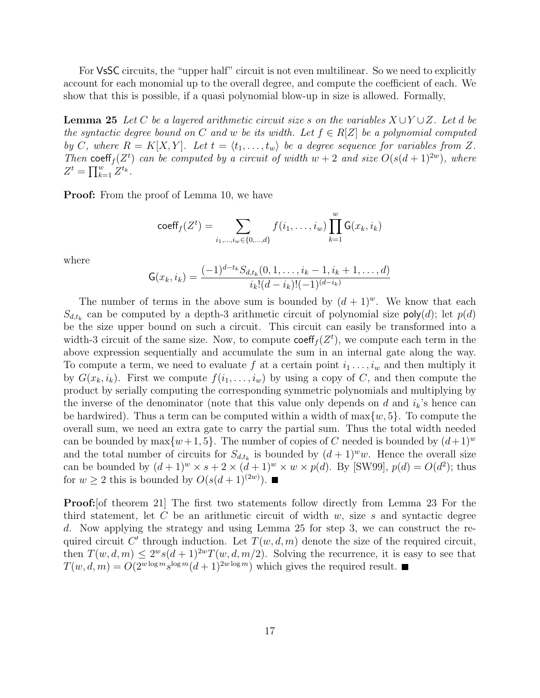For VsSC circuits, the "upper half" circuit is not even multilinear. So we need to explicitly account for each monomial up to the overall degree, and compute the coefficient of each. We show that this is possible, if a quasi polynomial blow-up in size is allowed. Formally,

**Lemma 25** Let C be a layered arithmetic circuit size s on the variables  $X \cup Y \cup Z$ . Let d be the syntactic degree bound on C and w be its width. Let  $f \in R[Z]$  be a polynomial computed by C, where  $R = K[X, Y]$ . Let  $t = \langle t_1, \ldots, t_w \rangle$  be a degree sequence for variables from Z. Then coeff<sub>f</sub>( $Z^t$ ) can be computed by a circuit of width  $w + 2$  and size  $O(s(d+1)^{2w})$ , where  $Z^{t} = \prod_{k=1}^{w} Z^{t_k}$ .

**Proof:** From the proof of Lemma 10, we have

$$
\mathrm{coeff}_{f}(Z^{t}) = \sum_{i_{1},...,i_{w} \in \{0,...,d\}} f(i_{1},...,i_{w}) \prod_{k=1}^{w} G(x_{k},i_{k})
$$

where

$$
\mathsf{G}(x_k, i_k) = \frac{(-1)^{d-t_k} S_{d,t_k}(0, 1, \dots, i_k - 1, i_k + 1, \dots, d)}{i_k!(d - i_k)! (-1)^{(d - i_k)}}
$$

The number of terms in the above sum is bounded by  $(d+1)^w$ . We know that each  $S_{d,t_k}$  can be computed by a depth-3 arithmetic circuit of polynomial size poly $(d)$ ; let  $p(d)$ be the size upper bound on such a circuit. This circuit can easily be transformed into a width-3 circuit of the same size. Now, to compute  $\text{coeff}_f(Z^t)$ , we compute each term in the above expression sequentially and accumulate the sum in an internal gate along the way. To compute a term, we need to evaluate f at a certain point  $i_1 \ldots, i_w$  and then multiply it by  $G(x_k, i_k)$ . First we compute  $f(i_1, \ldots, i_w)$  by using a copy of C, and then compute the product by serially computing the corresponding symmetric polynomials and multiplying by the inverse of the denominator (note that this value only depends on d and  $i_k$ 's hence can be hardwired). Thus a term can be computed within a width of  $\max\{w, 5\}$ . To compute the overall sum, we need an extra gate to carry the partial sum. Thus the total width needed can be bounded by  $\max\{w+1, 5\}$ . The number of copies of C needed is bounded by  $(d+1)^w$ and the total number of circuits for  $S_{d,t_k}$  is bounded by  $(d+1)^w w$ . Hence the overall size can be bounded by  $(d+1)^w \times s + 2 \times (d+1)^w \times w \times p(d)$ . By [SW99],  $p(d) = O(d^2)$ ; thus for  $w \ge 2$  this is bounded by  $O(s(d+1)^{(2w)})$ .

**Proof:** [of theorem 21] The first two statements follow directly from Lemma 23 For the third statement, let C be an arithmetic circuit of width  $w$ , size s and syntactic degree d. Now applying the strategy and using Lemma 25 for step 3, we can construct the required circuit C' through induction. Let  $T(w, d, m)$  denote the size of the required circuit, then  $T(w, d, m) \leq 2^w s(d+1)^{2w} T(w, d, m/2)$ . Solving the recurrence, it is easy to see that  $T(w, d, m) = O(2^{w \log m} s^{\log m} (d+1)^{2w \log m})$  which gives the required result.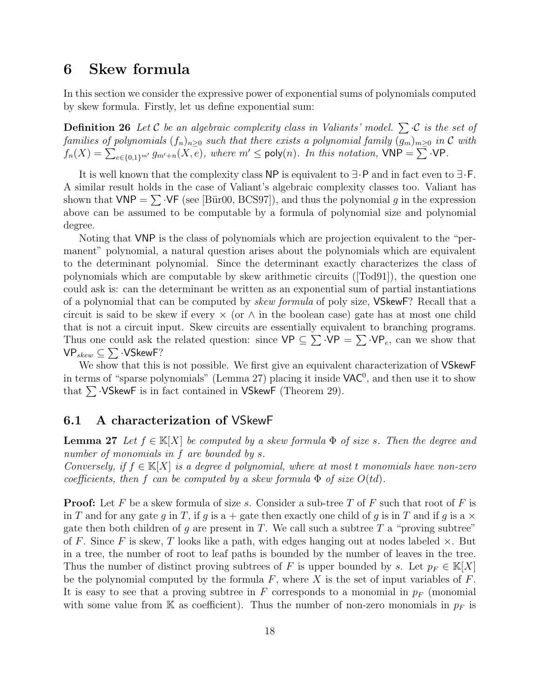# 6 Skew formula

In this section we consider the expressive power of exponential sums of polynomials computed by skew formula. Firstly, let us define exponential sum:

**Definition 26** Let C be an algebraic complexity class in Valiants' model.  $\sum C$  is the set of families of polynomials  $(f_n)_{n\geq 0}$  such that there exists a polynomial family  $(g_m)_{m\geq 0}$  in  $\mathcal C$  with  $f_n(X) = \sum_{e \in \{0,1\}^{m'}} g_{m'+n}(X,e)$ , where  $m' \le \text{poly}(n)$ . In this notation,  $\text{VNP} = \sum \text{VPP}$ .

It is well known that the complexity class NP is equivalent to ∃·P and in fact even to ∃·F. A similar result holds in the case of Valiant's algebraic complexity classes too. Valiant has shown that  $VNP = \sum VF$  (see [Bür00, BCS97]), and thus the polynomial g in the expression above can be assumed to be computable by a formula of polynomial size and polynomial degree.

Noting that VNP is the class of polynomials which are projection equivalent to the "permanent" polynomial, a natural question arises about the polynomials which are equivalent to the determinant polynomial. Since the determinant exactly characterizes the class of polynomials which are computable by skew arithmetic circuits ([Tod91]), the question one could ask is: can the determinant be written as an exponential sum of partial instantiations of a polynomial that can be computed by *skew formula* of poly size, **VSkewF**? Recall that a circuit is said to be skew if every  $\times$  (or  $\wedge$  in the boolean case) gate has at most one child that is not a circuit input. Skew circuits are essentially equivalent to branching programs. Thus one could ask the related question: since  $VP \subseteq \sum VP = \sum VP_e$ , can we show that  $\mathsf{VP}_{skew} \subseteq \sum \cdot \mathsf{VSkewF?}$ 

We show that this is not possible. We first give an equivalent characterization of VSkewF in terms of "sparse polynomials" (Lemma 27) placing it inside  $\text{VAC}^0$ , and then use it to show that  $\sum$  ·VSkewF is in fact contained in VSkewF (Theorem 29).

### 6.1 A characterization of VSkewF

**Lemma 27** Let  $f \in K[X]$  be computed by a skew formula  $\Phi$  of size s. Then the degree and number of monomials in f are bounded by s.

Conversely, if  $f \in K[X]$  is a degree d polynomial, where at most t monomials have non-zero coefficients, then f can be computed by a skew formula  $\Phi$  of size  $O(td)$ .

**Proof:** Let F be a skew formula of size s. Consider a sub-tree T of F such that root of F is in T and for any gate g in T, if g is a + gate then exactly one child of g is in T and if g is a  $\times$ gate then both children of g are present in T. We call such a subtree T a "proving subtree" of F. Since F is skew, T looks like a path, with edges hanging out at nodes labeled  $\times$ . But in a tree, the number of root to leaf paths is bounded by the number of leaves in the tree. Thus the number of distinct proving subtrees of F is upper bounded by s. Let  $p_F \in K[X]$ be the polynomial computed by the formula  $F$ , where  $X$  is the set of input variables of  $F$ . It is easy to see that a proving subtree in F corresponds to a monomial in  $p_F$  (monomial with some value from K as coefficient). Thus the number of non-zero monomials in  $p_F$  is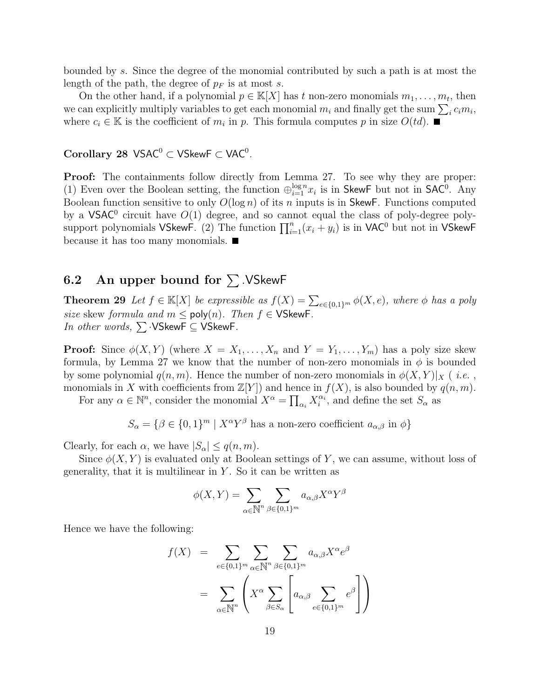bounded by s. Since the degree of the monomial contributed by such a path is at most the length of the path, the degree of  $p_F$  is at most s.

On the other hand, if a polynomial  $p \in K[X]$  has t non-zero monomials  $m_1, \ldots, m_t$ , then we can explicitly multiply variables to get each monomial  $m_i$  and finally get the sum  $\sum_i c_i m_i$ , where  $c_i \in \mathbb{K}$  is the coefficient of  $m_i$  in p. This formula computes p in size  $O(td)$ .

 $\rm Corollary~28~VSAC^0 \subset VSkewF \subset VAC^0$  .

Proof: The containments follow directly from Lemma 27. To see why they are proper: (1) Even over the Boolean setting, the function  $\bigoplus_{i=1}^{\log n} x_i$  is in SkewF but not in SAC<sup>0</sup>. Any Boolean function sensitive to only  $O(\log n)$  of its n inputs is in SkewF. Functions computed by a  $VSAC^0$  circuit have  $O(1)$  degree, and so cannot equal the class of poly-degree polysupport polynomials VSkewF. (2) The function  $\prod_{i=1}^{n}(x_i + y_i)$  is in VAC<sup>0</sup> but not in VSkewF because it has too many monomials.

### 6.2 An upper bound for  $\Sigma$ . VSkewF

**Theorem 29** Let  $f \in \mathbb{K}[X]$  be expressible as  $f(X) = \sum_{e \in \{0,1\}^m} \phi(X,e)$ , where  $\phi$  has a poly size skew formula and  $m \leq \text{poly}(n)$ . Then  $f \in \text{VSkewF}$ . In other words,  $\sum$  ·VSkewF  $\subseteq$  VSkewF.

**Proof:** Since  $\phi(X, Y)$  (where  $X = X_1, \ldots, X_n$  and  $Y = Y_1, \ldots, Y_m$ ) has a poly size skew formula, by Lemma 27 we know that the number of non-zero monomials in  $\phi$  is bounded by some polynomial  $q(n, m)$ . Hence the number of non-zero monomials in  $\phi(X, Y)|_X$  (*i.e.*, monomials in X with coefficients from  $\mathbb{Z}[Y]$  and hence in  $f(X)$ , is also bounded by  $q(n, m)$ .

For any  $\alpha \in \mathbb{N}^n$ , consider the monomial  $X^{\alpha} = \prod_{\alpha_i} X_i^{\alpha_i}$ , and define the set  $S_{\alpha}$  as

$$
S_{\alpha} = \{ \beta \in \{0, 1\}^m \mid X^{\alpha} Y^{\beta} \text{ has a non-zero coefficient } a_{\alpha, \beta} \text{ in } \phi \}
$$

Clearly, for each  $\alpha$ , we have  $|S_{\alpha}| \leq q(n,m)$ .

Since  $\phi(X, Y)$  is evaluated only at Boolean settings of Y, we can assume, without loss of generality, that it is multilinear in  $Y$ . So it can be written as

$$
\phi(X,Y) = \sum_{\alpha \in \mathbb{N}^n} \sum_{\beta \in \{0,1\}^m} a_{\alpha,\beta} X^{\alpha} Y^{\beta}
$$

Hence we have the following:

$$
f(X) = \sum_{e \in \{0,1\}^m} \sum_{\alpha \in \mathbb{N}^n} \sum_{\beta \in \{0,1\}^m} a_{\alpha,\beta} X^{\alpha} e^{\beta}
$$

$$
= \sum_{\alpha \in \mathbb{N}^n} \left( X^{\alpha} \sum_{\beta \in S_{\alpha}} \left[ a_{\alpha,\beta} \sum_{e \in \{0,1\}^m} e^{\beta} \right] \right)
$$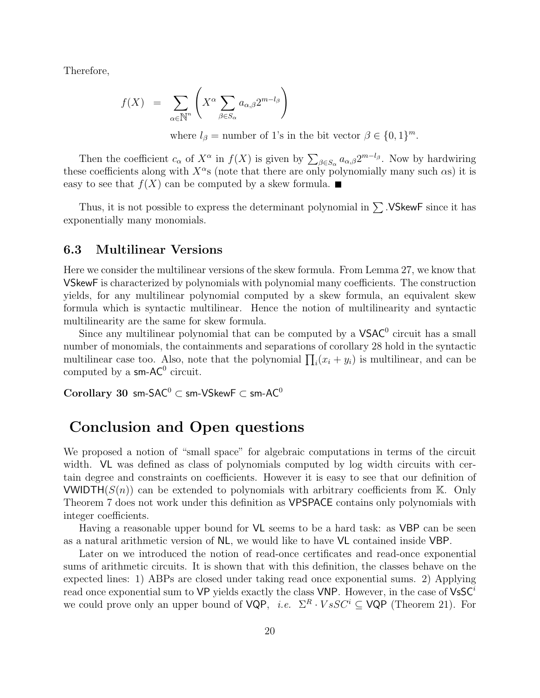Therefore,

$$
f(X) = \sum_{\alpha \in \mathbb{N}^n} \left( X^{\alpha} \sum_{\beta \in S_{\alpha}} a_{\alpha,\beta} 2^{m-l_{\beta}} \right)
$$

where  $l_{\beta} =$  number of 1's in the bit vector  $\beta \in \{0, 1\}^m$ .

Then the coefficient  $c_{\alpha}$  of  $X^{\alpha}$  in  $f(X)$  is given by  $\sum_{\beta \in S_{\alpha}} a_{\alpha,\beta} 2^{m-l_{\beta}}$ . Now by hardwiring these coefficients along with  $X^{\alpha}$ s (note that there are only polynomially many such  $\alpha$ s) it is easy to see that  $f(X)$  can be computed by a skew formula.

Thus, it is not possible to express the determinant polynomial in  $\sum$ . VSkewF since it has exponentially many monomials.

### 6.3 Multilinear Versions

Here we consider the multilinear versions of the skew formula. From Lemma 27, we know that VSkewF is characterized by polynomials with polynomial many coefficients. The construction yields, for any multilinear polynomial computed by a skew formula, an equivalent skew formula which is syntactic multilinear. Hence the notion of multilinearity and syntactic multilinearity are the same for skew formula.

Since any multilinear polynomial that can be computed by a  $VSAC<sup>0</sup>$  circuit has a small number of monomials, the containments and separations of corollary 28 hold in the syntactic multilinear case too. Also, note that the polynomial  $\prod_i (x_i + y_i)$  is multilinear, and can be computed by a  $\mathsf{s} \mathsf{m}$ -AC<sup>0</sup> circuit.

Corollary 30 sm-SAC<sup>0</sup>  $\subset$  sm-VSkewF  $\subset$  sm-AC<sup>0</sup>

# Conclusion and Open questions

We proposed a notion of "small space" for algebraic computations in terms of the circuit width. VL was defined as class of polynomials computed by log width circuits with certain degree and constraints on coefficients. However it is easy to see that our definition of VWIDTH( $S(n)$ ) can be extended to polynomials with arbitrary coefficients from K. Only Theorem 7 does not work under this definition as VPSPACE contains only polynomials with integer coefficients.

Having a reasonable upper bound for VL seems to be a hard task: as VBP can be seen as a natural arithmetic version of NL, we would like to have VL contained inside VBP.

Later on we introduced the notion of read-once certificates and read-once exponential sums of arithmetic circuits. It is shown that with this definition, the classes behave on the expected lines: 1) ABPs are closed under taking read once exponential sums. 2) Applying read once exponential sum to VP yields exactly the class VNP. However, in the case of  $V$ s $C^i$ we could prove only an upper bound of  $VQP$ , *i.e.*  $\Sigma^R \cdot VsSC^i \subseteq VQP$  (Theorem 21). For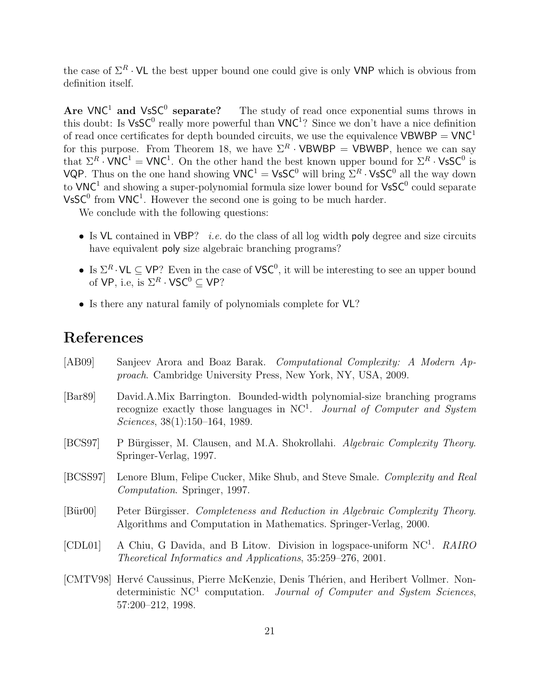the case of  $\Sigma^R \cdot \mathsf{VL}$  the best upper bound one could give is only VNP which is obvious from definition itself.

Are  $VNC^1$  and  $VsSC^0$  separate? The study of read once exponential sums throws in this doubt: Is  $\mathsf{V}\mathsf{s}\mathsf{SC}^0$  really more powerful than  $\mathsf{V}\mathsf{NC}^1$ ? Since we don't have a nice definition of read once certificates for depth bounded circuits, we use the equivalence  $VBWBP = VNC<sup>1</sup>$ for this purpose. From Theorem 18, we have  $\Sigma^R \cdot \mathsf{VBWBP} = \mathsf{VBWBP}$ , hence we can say that  $\Sigma^R \cdot \text{VNC}^1 = \text{VNC}^1$ . On the other hand the best known upper bound for  $\Sigma^R \cdot \text{VsSC}^0$  is VQP. Thus on the one hand showing  $VNC^1 = VsSC^0$  will bring  $\Sigma^R \cdot VsSC^0$  all the way down to  $VNC^1$  and showing a super-polynomial formula size lower bound for  $VSSC^0$  could separate  $V$ s $C^0$  from  $VNC^1$ . However the second one is going to be much harder.

We conclude with the following questions:

- Is VL contained in VBP? *i.e.* do the class of all log width poly degree and size circuits have equivalent **poly** size algebraic branching programs?
- Is  $\Sigma^R \cdot \mathsf{VL} \subseteq \mathsf{VP}$ ? Even in the case of  $\mathsf{VSC}^0$ , it will be interesting to see an upper bound of VP, i.e, is  $\Sigma^R \cdot \mathsf{VSC}^0 \subseteq \mathsf{VP}$ ?
- Is there any natural family of polynomials complete for  $VL$ ?

# References

- [AB09] Sanjeev Arora and Boaz Barak. Computational Complexity: A Modern Approach. Cambridge University Press, New York, NY, USA, 2009. [Bar89] David.A.Mix Barrington. Bounded-width polynomial-size branching programs recognize exactly those languages in NC<sup>1</sup>. Journal of Computer and System Sciences, 38(1):150–164, 1989. [BCS97] P Bürgisser, M. Clausen, and M.A. Shokrollahi. Algebraic Complexity Theory. Springer-Verlag, 1997. [BCSS97] Lenore Blum, Felipe Cucker, Mike Shub, and Steve Smale. Complexity and Real Computation. Springer, 1997. [Bür00] Peter Bürgisser. Completeness and Reduction in Algebraic Complexity Theory. Algorithms and Computation in Mathematics. Springer-Verlag, 2000. [CDL01] A Chiu, G Davida, and B Litow. Division in logspace-uniform NC<sup>1</sup>. RAIRO Theoretical Informatics and Applications, 35:259–276, 2001.
- [CMTV98] Hervé Caussinus, Pierre McKenzie, Denis Thérien, and Heribert Vollmer. Nondeterministic NC<sup>1</sup> computation. Journal of Computer and System Sciences, 57:200–212, 1998.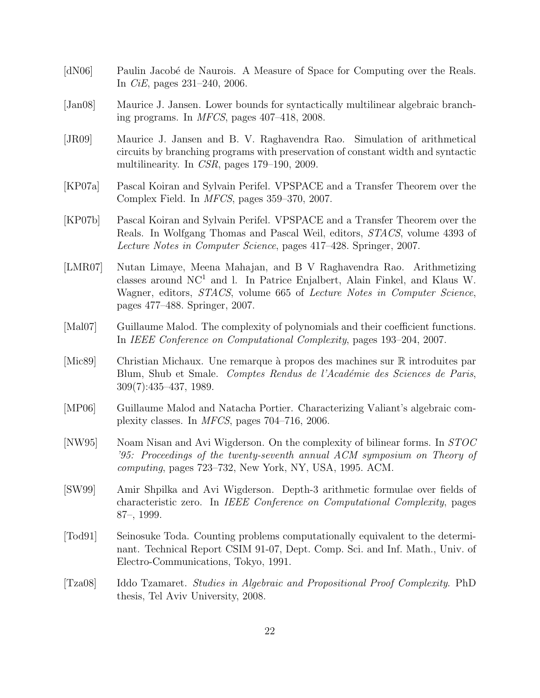- [dN06] Paulin Jacobé de Naurois. A Measure of Space for Computing over the Reals. In CiE, pages 231–240, 2006.
- [Jan08] Maurice J. Jansen. Lower bounds for syntactically multilinear algebraic branching programs. In MFCS, pages 407–418, 2008.
- [JR09] Maurice J. Jansen and B. V. Raghavendra Rao. Simulation of arithmetical circuits by branching programs with preservation of constant width and syntactic multilinearity. In CSR, pages 179–190, 2009.
- [KP07a] Pascal Koiran and Sylvain Perifel. VPSPACE and a Transfer Theorem over the Complex Field. In MFCS, pages 359–370, 2007.
- [KP07b] Pascal Koiran and Sylvain Perifel. VPSPACE and a Transfer Theorem over the Reals. In Wolfgang Thomas and Pascal Weil, editors, STACS, volume 4393 of Lecture Notes in Computer Science, pages 417–428. Springer, 2007.
- [LMR07] Nutan Limaye, Meena Mahajan, and B V Raghavendra Rao. Arithmetizing classes around NC<sup>1</sup> and l. In Patrice Enjalbert, Alain Finkel, and Klaus W. Wagner, editors, *STACS*, volume 665 of *Lecture Notes in Computer Science*, pages 477–488. Springer, 2007.
- [Mal07] Guillaume Malod. The complexity of polynomials and their coefficient functions. In IEEE Conference on Computational Complexity, pages 193–204, 2007.
- [Mic89] Christian Michaux. Une remarque à propos des machines sur R introduites par Blum, Shub et Smale. Comptes Rendus de l'Académie des Sciences de Paris, 309(7):435–437, 1989.
- [MP06] Guillaume Malod and Natacha Portier. Characterizing Valiant's algebraic complexity classes. In MFCS, pages 704–716, 2006.
- [NW95] Noam Nisan and Avi Wigderson. On the complexity of bilinear forms. In STOC '95: Proceedings of the twenty-seventh annual ACM symposium on Theory of computing, pages 723–732, New York, NY, USA, 1995. ACM.
- [SW99] Amir Shpilka and Avi Wigderson. Depth-3 arithmetic formulae over fields of characteristic zero. In IEEE Conference on Computational Complexity, pages 87–, 1999.
- [Tod91] Seinosuke Toda. Counting problems computationally equivalent to the determinant. Technical Report CSIM 91-07, Dept. Comp. Sci. and Inf. Math., Univ. of Electro-Communications, Tokyo, 1991.
- [Tza08] Iddo Tzamaret. Studies in Algebraic and Propositional Proof Complexity. PhD thesis, Tel Aviv University, 2008.